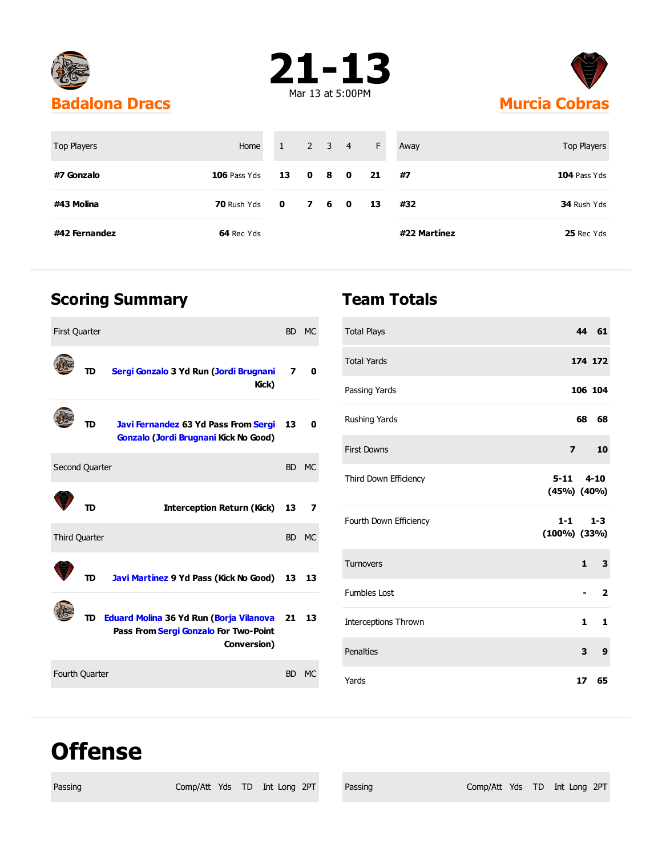





| <b>Top Players</b> | Home           | 1           |                | $2 \quad 3 \quad 4$ |              | F  | Away         | Top Players    |
|--------------------|----------------|-------------|----------------|---------------------|--------------|----|--------------|----------------|
| #7 Gonzalo         | $106$ Pass Yds | 13          | 0 <sub>8</sub> |                     | $\mathbf{0}$ | 21 | #7           | $104$ Pass Yds |
| #43 Molina         | 70 Rush Yds    | $\bullet$ 0 | 7 6 0          |                     |              | 13 | #32          | 34 Rush Yds    |
| #42 Fernandez      | 64 Rec Yds     |             |                |                     |              |    | #22 Martínez | 25 Rec Yds     |

### **Scoring Summary**

| <b>First Quarter</b>  |    |                                                                                                    | <b>BD</b> | <b>MC</b> |
|-----------------------|----|----------------------------------------------------------------------------------------------------|-----------|-----------|
|                       | TD | Sergi Gonzalo 3 Yd Run (Jordi Brugnani<br>Kick)                                                    | 7         | 0         |
|                       | TD | <b>Javi Fernandez 63 Yd Pass From Sergi</b><br>Gonzalo (Jordi Brugnani Kick No Good)               | 13        | 0         |
| Second Quarter        |    |                                                                                                    |           | BD MC     |
|                       | תד | Interception Return (Kick)                                                                         | 13        | 7         |
| <b>Third Quarter</b>  |    |                                                                                                    |           | BD MC     |
|                       | TD | Javi Martínez 9 Yd Pass (Kick No Good)                                                             | 13        | 13        |
|                       |    | TD Eduard Molina 36 Yd Run (Borja Vilanova<br>Pass From Sergi Gonzalo For Two-Point<br>Conversion) | 21        | 13        |
| <b>Fourth Quarter</b> |    |                                                                                                    | <b>BD</b> | MC        |

#### **Team Totals**

| <b>Total Plays</b>                                        |                |              | 44 61          |  |
|-----------------------------------------------------------|----------------|--------------|----------------|--|
| <b>Total Yards</b>                                        |                |              | 174 172        |  |
| Passing Yards                                             |                |              | 106 104        |  |
| Rushing Yards                                             |                | 68           | 68             |  |
| <b>First Downs</b>                                        | $\overline{ }$ |              | 10             |  |
| $5 - 11$ $4 - 10$<br>Third Down Efficiency<br>(45%) (40%) |                |              |                |  |
| Fourth Down Efficiency<br>$(100\%)$ $(33\%)$              | $1-1$          |              | $1 - 3$        |  |
| Turnovers                                                 |                | $\mathbf{1}$ | 3              |  |
| <b>Fumbles Lost</b>                                       |                |              | $\overline{2}$ |  |
| <b>Interceptions Thrown</b>                               |                | 1            | 1              |  |
| Penalties                                                 |                | 3            | 9              |  |
| Yards                                                     |                | 17           | 65             |  |

## **Offense**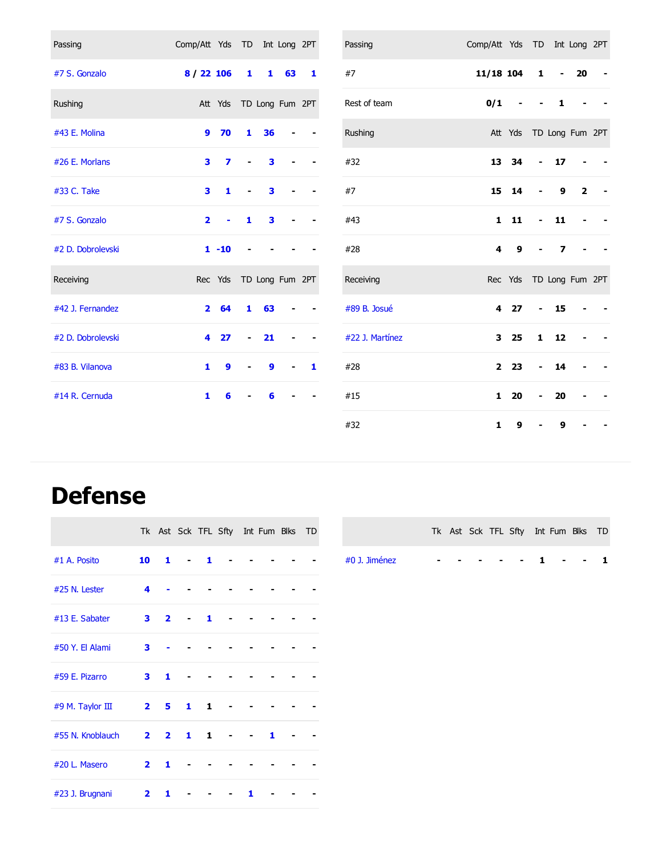| Passing           | Comp/Att Yds TD Int Long 2PT |                         |                          |              |                |              | Passing         | Comp/Att Yds TD Int Long 2PT |                         |                          |                |                 |  |
|-------------------|------------------------------|-------------------------|--------------------------|--------------|----------------|--------------|-----------------|------------------------------|-------------------------|--------------------------|----------------|-----------------|--|
| #7 S. Gonzalo     | 8/22106                      |                         | $\mathbf{1}$             |              | $1\quad 63$    | 1            | #7              | 11/18 104                    |                         | 1                        | $\blacksquare$ | 20              |  |
| Rushing           |                              | Att Yds TD Long Fum 2PT |                          |              |                |              | Rest of team    | 0/1                          |                         |                          | 1              |                 |  |
| #43 E. Molina     | 9                            | 70                      | $\mathbf{1}$             | 36           |                |              | Rushing         |                              | Att Yds                 |                          |                | TD Long Fum 2PT |  |
| #26 E. Morlans    | 3                            | 7                       |                          | 3            |                |              | #32             | 13                           | 34                      |                          | 17             |                 |  |
| #33 C. Take       | 3                            | 1                       |                          | 3            |                |              | #7              | 15                           | 14                      |                          | 9              | $\overline{2}$  |  |
| #7 S. Gonzalo     | $\overline{\mathbf{2}}$      |                         | 1                        | 3            |                |              | #43             | $\mathbf{1}$                 | 11                      |                          | 11             |                 |  |
| #2 D. Dobrolevski |                              | $1 - 10$                |                          |              |                |              | #28             | 4                            | 9                       |                          | 7              |                 |  |
| Receiving         |                              | Rec Yds TD Long Fum 2PT |                          |              |                |              | Receiving       |                              | Rec Yds TD Long Fum 2PT |                          |                |                 |  |
| #42 J. Fernandez  | $\mathbf{2}$                 | 64                      | 1                        | 63           |                |              | #89 B. Josué    | 4                            | 27                      | $\overline{\phantom{0}}$ | 15             |                 |  |
| #2 D. Dobrolevski | 4                            | 27                      | $\overline{\phantom{0}}$ | 21           |                |              | #22 J. Martínez | 3                            | 25                      | $\mathbf{1}$             | 12             |                 |  |
| #83 B. Vilanova   | 1                            | $\mathbf{9}$            | $\blacksquare$           | $\mathbf{9}$ | $\blacksquare$ | $\mathbf{1}$ | #28             | $\overline{2}$               | 23                      |                          | 14             |                 |  |
| #14 R. Cernuda    | $\mathbf{1}$                 | 6                       |                          | 6            |                |              | #15             | $\mathbf{1}$                 | 20                      |                          | 20             |                 |  |
|                   |                              |                         |                          |              |                |              | #32             | 1                            | 9                       |                          | 9              |                 |  |

# **Defense**

|                  |                         |                         |                |    | Tk Ast Sck TFL Sfty Int Fum Blks TD |   |  |  |               |  |  |  |  | Tk Ast Sck TFL Sfty Int Fum Blks TD |  |
|------------------|-------------------------|-------------------------|----------------|----|-------------------------------------|---|--|--|---------------|--|--|--|--|-------------------------------------|--|
| #1 A. Posito     | 10                      | 1                       | $\blacksquare$ |    |                                     |   |  |  | #0 J. Jiménez |  |  |  |  |                                     |  |
| #25 N. Lester    | 4                       |                         |                |    |                                     |   |  |  |               |  |  |  |  |                                     |  |
| #13 E. Sabater   | 3 <sub>1</sub>          | $\overline{\mathbf{2}}$ | $\blacksquare$ | 1  |                                     |   |  |  |               |  |  |  |  |                                     |  |
| #50 Y. El Alami  | 3                       |                         |                |    |                                     |   |  |  |               |  |  |  |  |                                     |  |
| #59 E. Pizarro   | 3                       | 1                       |                |    |                                     |   |  |  |               |  |  |  |  |                                     |  |
| #9 M. Taylor III | $\overline{\mathbf{2}}$ | 5                       | 1              | 1  |                                     |   |  |  |               |  |  |  |  |                                     |  |
| #55 N. Knoblauch | $\overline{2}$          | $\overline{\mathbf{2}}$ | 1              | 1. |                                     | 1 |  |  |               |  |  |  |  |                                     |  |
| #20 L. Masero    | $\overline{2}$          | 1                       |                |    |                                     |   |  |  |               |  |  |  |  |                                     |  |
| #23 J. Brugnani  | $\overline{\mathbf{2}}$ | 1                       |                |    |                                     |   |  |  |               |  |  |  |  |                                     |  |